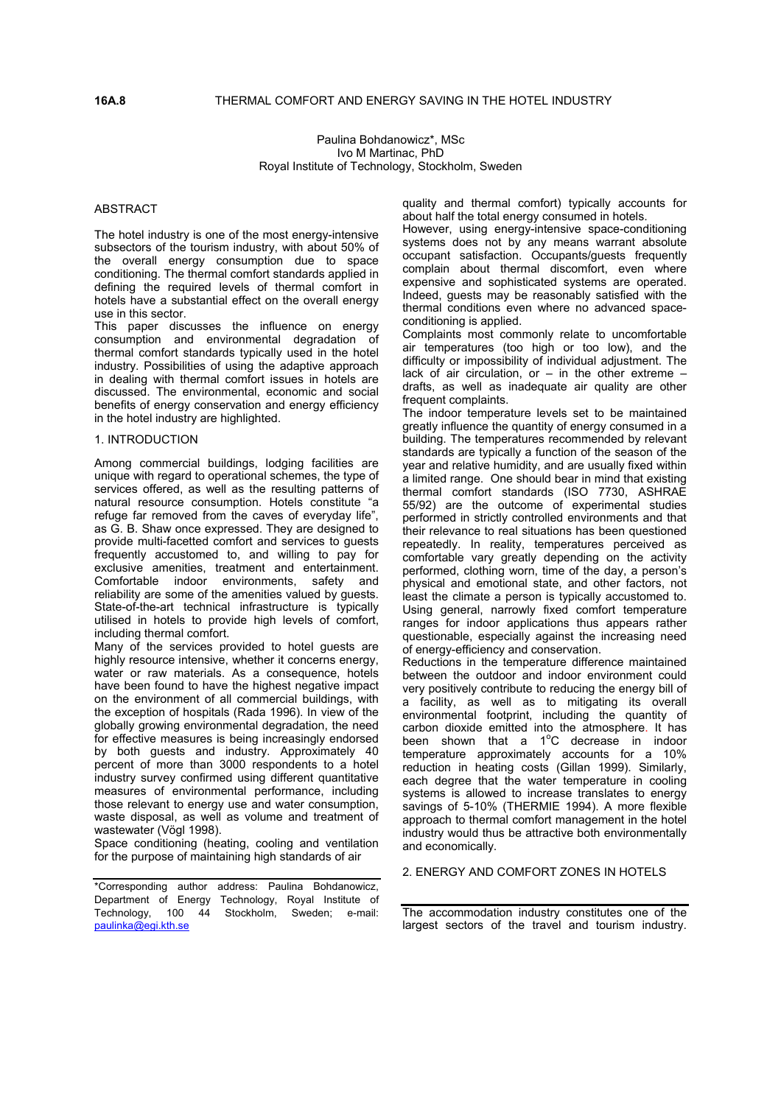## **16A.8** THERMAL COMFORT AND ENERGY SAVING IN THE HOTEL INDUSTRY

Paulina Bohdanowicz\*, MSc Ivo M Martinac, PhD Royal Institute of Technology, Stockholm, Sweden

### ABSTRACT

The hotel industry is one of the most energy-intensive subsectors of the tourism industry, with about 50% of the overall energy consumption due to space conditioning. The thermal comfort standards applied in defining the required levels of thermal comfort in hotels have a substantial effect on the overall energy use in this sector.

This paper discusses the influence on energy consumption and environmental degradation of thermal comfort standards typically used in the hotel industry. Possibilities of using the adaptive approach in dealing with thermal comfort issues in hotels are discussed. The environmental, economic and social benefits of energy conservation and energy efficiency in the hotel industry are highlighted.

### 1. INTRODUCTION

Among commercial buildings, lodging facilities are unique with regard to operational schemes, the type of services offered, as well as the resulting patterns of natural resource consumption. Hotels constitute "a refuge far removed from the caves of everyday life", as G. B. Shaw once expressed. They are designed to provide multi-facetted comfort and services to guests frequently accustomed to, and willing to pay for exclusive amenities, treatment and entertainment. Comfortable indoor environments, safety and reliability are some of the amenities valued by guests. State-of-the-art technical infrastructure is typically utilised in hotels to provide high levels of comfort, including thermal comfort.

Many of the services provided to hotel guests are highly resource intensive, whether it concerns energy, water or raw materials. As a consequence, hotels have been found to have the highest negative impact on the environment of all commercial buildings, with the exception of hospitals (Rada 1996). In view of the globally growing environmental degradation, the need for effective measures is being increasingly endorsed by both guests and industry. Approximately 40 percent of more than 3000 respondents to a hotel industry survey confirmed using different quantitative measures of environmental performance, including those relevant to energy use and water consumption, waste disposal, as well as volume and treatment of wastewater (Vögl 1998).

Space conditioning (heating, cooling and ventilation for the purpose of maintaining high standards of air

\*Corresponding author address: Paulina Bohdanowicz, Department of Energy Technology, Royal Institute of Technology, 100 44 Stockholm, Sweden; e-mail: [paulinka@egi.kth.se](mailto:paulinka@egi.kth.se)

quality and thermal comfort) typically accounts for about half the total energy consumed in hotels.

However, using energy-intensive space-conditioning systems does not by any means warrant absolute occupant satisfaction. Occupants/guests frequently complain about thermal discomfort, even where expensive and sophisticated systems are operated. Indeed, guests may be reasonably satisfied with the thermal conditions even where no advanced spaceconditioning is applied.

Complaints most commonly relate to uncomfortable air temperatures (too high or too low), and the difficulty or impossibility of individual adjustment. The lack of air circulation, or  $-$  in the other extreme  $$ drafts, as well as inadequate air quality are other frequent complaints.

The indoor temperature levels set to be maintained greatly influence the quantity of energy consumed in a building. The temperatures recommended by relevant standards are typically a function of the season of the year and relative humidity, and are usually fixed within a limited range. One should bear in mind that existing thermal comfort standards (ISO 7730, ASHRAE 55/92) are the outcome of experimental studies performed in strictly controlled environments and that their relevance to real situations has been questioned repeatedly. In reality, temperatures perceived as comfortable vary greatly depending on the activity performed, clothing worn, time of the day, a person's physical and emotional state, and other factors, not least the climate a person is typically accustomed to. Using general, narrowly fixed comfort temperature ranges for indoor applications thus appears rather questionable, especially against the increasing need of energy-efficiency and conservation.

Reductions in the temperature difference maintained between the outdoor and indoor environment could very positively contribute to reducing the energy bill of a facility, as well as to mitigating its overall environmental footprint, including the quantity of carbon dioxide emitted into the atmosphere. It has been shown that a 1°C decrease in indoor temperature approximately accounts for a 10% reduction in heating costs (Gillan 1999). Similarly, each degree that the water temperature in cooling systems is allowed to increase translates to energy savings of 5-10% (THERMIE 1994). A more flexible approach to thermal comfort management in the hotel industry would thus be attractive both environmentally and economically.

#### 2. ENERGY AND COMFORT ZONES IN HOTELS

The accommodation industry constitutes one of the largest sectors of the travel and tourism industry.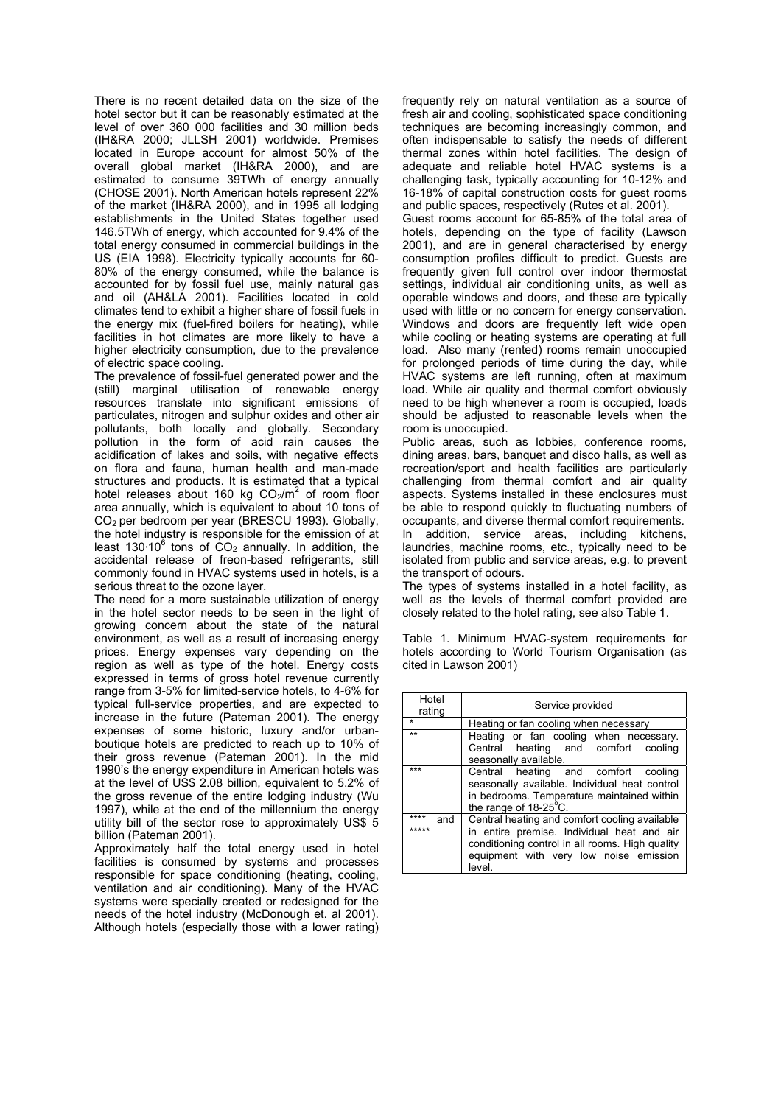There is no recent detailed data on the size of the hotel sector but it can be reasonably estimated at the level of over 360 000 facilities and 30 million beds (IH&RA 2000; JLLSH 2001) worldwide. Premises located in Europe account for almost 50% of the overall global market (IH&RA 2000), and are estimated to consume 39TWh of energy annually (CHOSE 2001). North American hotels represent 22% of the market (IH&RA 2000), and in 1995 all lodging establishments in the United States together used 146.5TWh of energy, which accounted for 9.4% of the total energy consumed in commercial buildings in the US (EIA 1998). Electricity typically accounts for 60- 80% of the energy consumed, while the balance is accounted for by fossil fuel use, mainly natural gas and oil (AH&LA 2001). Facilities located in cold climates tend to exhibit a higher share of fossil fuels in the energy mix (fuel-fired boilers for heating), while facilities in hot climates are more likely to have a higher electricity consumption, due to the prevalence of electric space cooling.

The prevalence of fossil-fuel generated power and the (still) marginal utilisation of renewable energy resources translate into significant emissions of particulates, nitrogen and sulphur oxides and other air pollutants, both locally and globally. Secondary pollution in the form of acid rain causes the acidification of lakes and soils, with negative effects on flora and fauna, human health and man-made structures and products. It is estimated that a typical hotel releases about 160 kg  $CO<sub>2</sub>/m<sup>2</sup>$  of room floor area annually, which is equivalent to about 10 tons of CO2 per bedroom per year (BRESCU 1993). Globally, the hotel industry is responsible for the emission of at least 130 $\cdot$ 10<sup>6</sup> tons of CO<sub>2</sub> annually. In addition, the accidental release of freon-based refrigerants, still commonly found in HVAC systems used in hotels, is a serious threat to the ozone layer.

The need for a more sustainable utilization of energy in the hotel sector needs to be seen in the light of growing concern about the state of the natural environment, as well as a result of increasing energy prices. Energy expenses vary depending on the region as well as type of the hotel. Energy costs expressed in terms of gross hotel revenue currently range from 3-5% for limited-service hotels, to 4-6% for typical full-service properties, and are expected to increase in the future (Pateman 2001). The energy expenses of some historic, luxury and/or urbanboutique hotels are predicted to reach up to 10% of their gross revenue (Pateman 2001). In the mid 1990's the energy expenditure in American hotels was at the level of US\$ 2.08 billion, equivalent to 5.2% of the gross revenue of the entire lodging industry (Wu 1997), while at the end of the millennium the energy utility bill of the sector rose to approximately US\$ 5 billion (Pateman 2001).

Approximately half the total energy used in hotel facilities is consumed by systems and processes responsible for space conditioning (heating, cooling, ventilation and air conditioning). Many of the HVAC systems were specially created or redesigned for the needs of the hotel industry (McDonough et. al 2001). Although hotels (especially those with a lower rating) frequently rely on natural ventilation as a source of fresh air and cooling, sophisticated space conditioning techniques are becoming increasingly common, and often indispensable to satisfy the needs of different thermal zones within hotel facilities. The design of adequate and reliable hotel HVAC systems is a challenging task, typically accounting for 10-12% and 16-18% of capital construction costs for guest rooms and public spaces, respectively (Rutes et al. 2001).

Guest rooms account for 65-85% of the total area of hotels, depending on the type of facility (Lawson 2001), and are in general characterised by energy consumption profiles difficult to predict. Guests are frequently given full control over indoor thermostat settings, individual air conditioning units, as well as operable windows and doors, and these are typically used with little or no concern for energy conservation. Windows and doors are frequently left wide open while cooling or heating systems are operating at full load. Also many (rented) rooms remain unoccupied for prolonged periods of time during the day, while HVAC systems are left running, often at maximum load. While air quality and thermal comfort obviously need to be high whenever a room is occupied, loads should be adjusted to reasonable levels when the room is unoccupied.

Public areas, such as lobbies, conference rooms, dining areas, bars, banquet and disco halls, as well as recreation/sport and health facilities are particularly challenging from thermal comfort and air quality aspects. Systems installed in these enclosures must be able to respond quickly to fluctuating numbers of occupants, and diverse thermal comfort requirements. In addition, service areas, including kitchens, laundries, machine rooms, etc., typically need to be

isolated from public and service areas, e.g. to prevent the transport of odours.

The types of systems installed in a hotel facility, as well as the levels of thermal comfort provided are closely related to the hotel rating, see also Table 1.

Table 1. Minimum HVAC-system requirements for hotels according to World Tourism Organisation (as cited in Lawson 2001)

| Hotel<br>rating      | Service provided                                                                                                                                                                                   |  |  |
|----------------------|----------------------------------------------------------------------------------------------------------------------------------------------------------------------------------------------------|--|--|
|                      | Heating or fan cooling when necessary                                                                                                                                                              |  |  |
| $***$                | Heating or fan cooling when necessary.<br>Central heating and comfort<br>cooling<br>seasonally available.                                                                                          |  |  |
| ***                  | Central heating and comfort cooling<br>seasonally available. Individual heat control<br>in bedrooms. Temperature maintained within<br>the range of 18-25°C.                                        |  |  |
| ****<br>and<br>***** | Central heating and comfort cooling available<br>in entire premise. Individual heat and air<br>conditioning control in all rooms. High quality<br>equipment with very low noise emission<br>level. |  |  |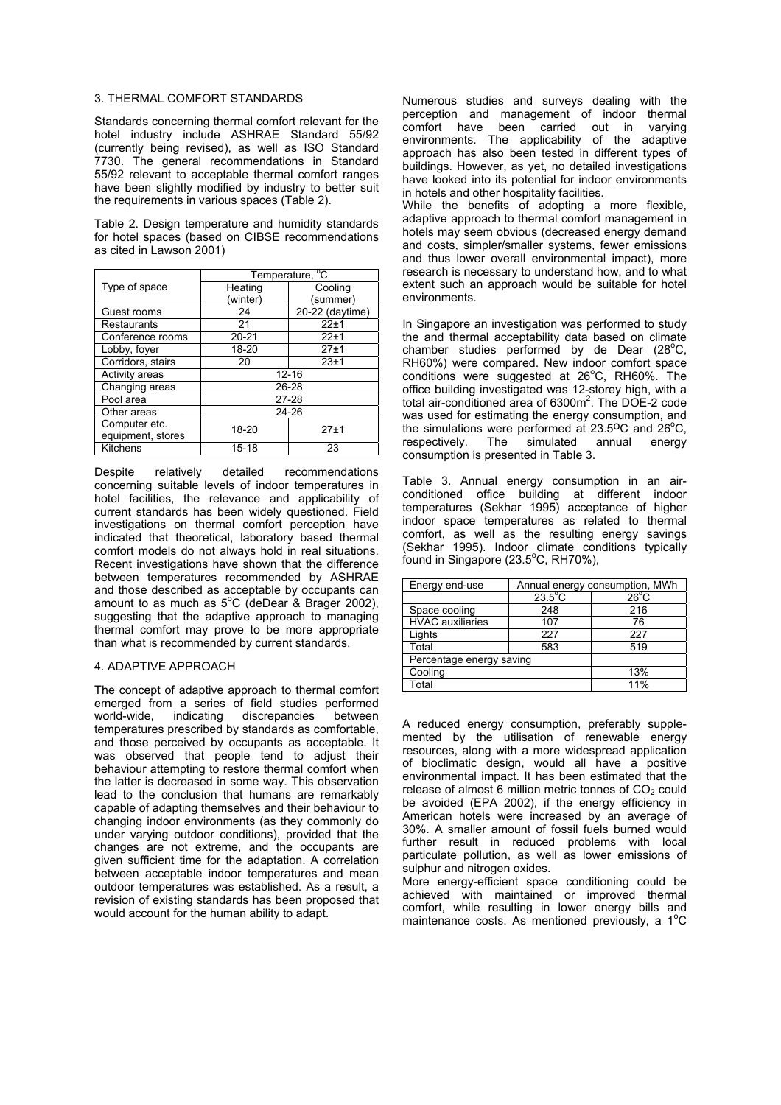### 3. THERMAL COMFORT STANDARDS

Standards concerning thermal comfort relevant for the hotel industry include ASHRAE Standard 55/92 (currently being revised), as well as ISO Standard 7730. The general recommendations in Standard 55/92 relevant to acceptable thermal comfort ranges have been slightly modified by industry to better suit the requirements in various spaces (Table 2).

Table 2. Design temperature and humidity standards for hotel spaces (based on CIBSE recommendations as cited in Lawson 2001)

|                       | Temperature, <sup>o</sup> C |                 |  |
|-----------------------|-----------------------------|-----------------|--|
| Type of space         | Heating                     | Cooling         |  |
|                       | (winter)                    | (summer)        |  |
| Guest rooms           | 24                          | 20-22 (daytime) |  |
| Restaurants           | 21                          | $22 + 1$        |  |
| Conference rooms      | $20 - 21$                   | $22 + 1$        |  |
| Lobby, foyer          | 18-20                       | $27 + 1$        |  |
| Corridors, stairs     | 20                          | 23±1            |  |
| <b>Activity areas</b> | $12 - 16$                   |                 |  |
| Changing areas        | 26-28                       |                 |  |
| Pool area             |                             | $27 - 28$       |  |
| Other areas           | 24-26                       |                 |  |
| Computer etc.         | 18-20                       | $27 + 1$        |  |
| equipment, stores     |                             |                 |  |
| Kitchens              | 15-18                       | 23              |  |

Despite relatively detailed recommendations concerning suitable levels of indoor temperatures in hotel facilities, the relevance and applicability of current standards has been widely questioned. Field investigations on thermal comfort perception have indicated that theoretical, laboratory based thermal comfort models do not always hold in real situations. Recent investigations have shown that the difference between temperatures recommended by ASHRAE and those described as acceptable by occupants can amount to as much as  $5^{\circ}$ C (deDear & Brager 2002), suggesting that the adaptive approach to managing thermal comfort may prove to be more appropriate than what is recommended by current standards.

#### 4. ADAPTIVE APPROACH

The concept of adaptive approach to thermal comfort emerged from a series of field studies performed<br>world-wide, indicating discrepancies between discrepancies temperatures prescribed by standards as comfortable, and those perceived by occupants as acceptable. It was observed that people tend to adjust their behaviour attempting to restore thermal comfort when the latter is decreased in some way. This observation lead to the conclusion that humans are remarkably capable of adapting themselves and their behaviour to changing indoor environments (as they commonly do under varying outdoor conditions), provided that the changes are not extreme, and the occupants are given sufficient time for the adaptation. A correlation between acceptable indoor temperatures and mean outdoor temperatures was established. As a result, a revision of existing standards has been proposed that would account for the human ability to adapt.

Numerous studies and surveys dealing with the perception and management of indoor thermal comfort have been carried out in varying environments. The applicability of the adaptive approach has also been tested in different types of buildings. However, as yet, no detailed investigations have looked into its potential for indoor environments in hotels and other hospitality facilities.

While the benefits of adopting a more flexible, adaptive approach to thermal comfort management in hotels may seem obvious (decreased energy demand and costs, simpler/smaller systems, fewer emissions and thus lower overall environmental impact), more research is necessary to understand how, and to what extent such an approach would be suitable for hotel environments.

In Singapore an investigation was performed to study the and thermal acceptability data based on climate chamber studies performed by de Dear  $(28^{\circ}C,$ RH60%) were compared. New indoor comfort space conditions were suggested at 26°C, RH60%. The office building investigated was 12-storey high, with a total air-conditioned area of 6300m<sup>2</sup>. The DOE-2 code was used for estimating the energy consumption, and the simulations were performed at  $23.5^{\circ}$ C and  $26^{\circ}$ C, respectively. The simulated annual energy consumption is presented in Table 3.

Table 3. Annual energy consumption in an airconditioned office building at different indoor temperatures (Sekhar 1995) acceptance of higher indoor space temperatures as related to thermal comfort, as well as the resulting energy savings (Sekhar 1995). Indoor climate conditions typically  $\overline{f}$ ound in Singapore (23.5 $\degree$ C, RH70%),

| Energy end-use           | Annual energy consumption, MWh |                |  |
|--------------------------|--------------------------------|----------------|--|
|                          | $23.5^{\circ}$ C               | $26^{\circ}$ C |  |
| Space cooling            | 248                            | 216            |  |
| <b>HVAC</b> auxiliaries  | 107                            | 76             |  |
| Lights                   | 227                            | 227            |  |
| Total                    | 583                            | 519            |  |
| Percentage energy saving |                                |                |  |
| Cooling                  | 13%                            |                |  |
| Total                    | 11%                            |                |  |

A reduced energy consumption, preferably supplemented by the utilisation of renewable energy resources, along with a more widespread application of bioclimatic design, would all have a positive environmental impact. It has been estimated that the release of almost 6 million metric tonnes of  $CO<sub>2</sub>$  could be avoided (EPA 2002), if the energy efficiency in American hotels were increased by an average of 30%. A smaller amount of fossil fuels burned would further result in reduced problems with local particulate pollution, as well as lower emissions of sulphur and nitrogen oxides.

More energy-efficient space conditioning could be achieved with maintained or improved thermal comfort, while resulting in lower energy bills and maintenance costs. As mentioned previously, a  $1^{\circ}$ C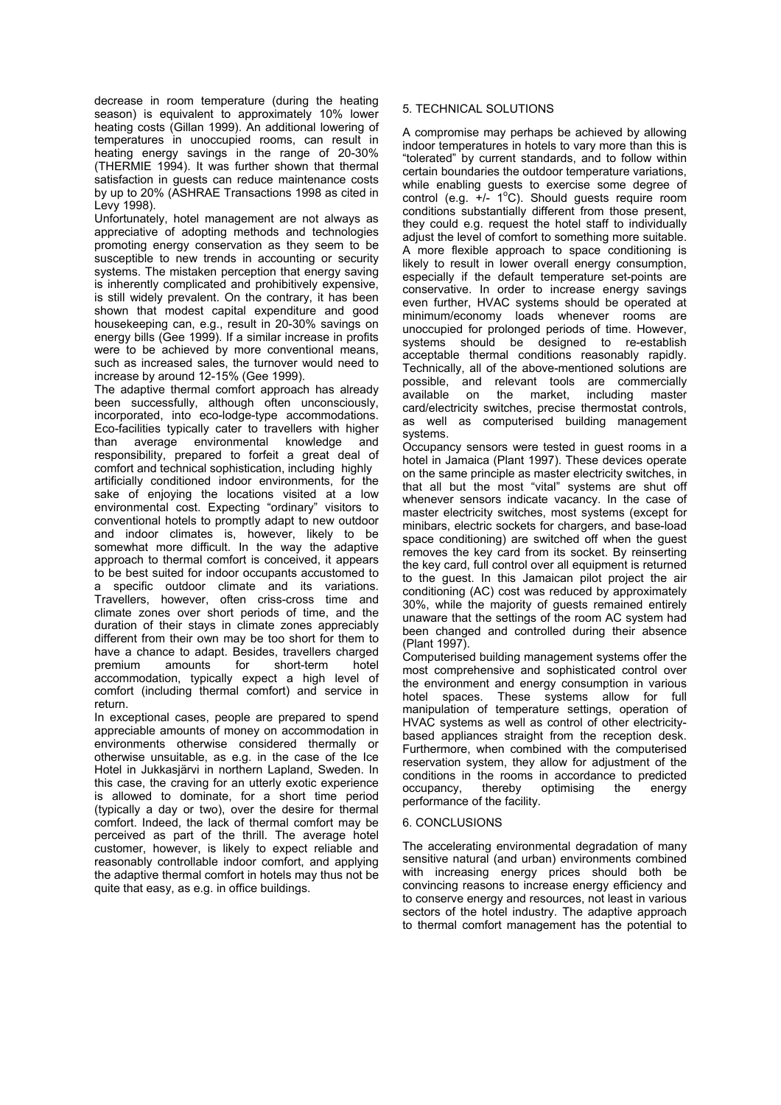decrease in room temperature (during the heating season) is equivalent to approximately 10% lower heating costs (Gillan 1999). An additional lowering of temperatures in unoccupied rooms, can result in heating energy savings in the range of 20-30% (THERMIE 1994). It was further shown that thermal satisfaction in guests can reduce maintenance costs by up to 20% (ASHRAE Transactions 1998 as cited in Levy 1998).

Unfortunately, hotel management are not always as appreciative of adopting methods and technologies promoting energy conservation as they seem to be susceptible to new trends in accounting or security systems. The mistaken perception that energy saving is inherently complicated and prohibitively expensive, is still widely prevalent. On the contrary, it has been shown that modest capital expenditure and good housekeeping can, e.g., result in 20-30% savings on energy bills (Gee 1999). If a similar increase in profits were to be achieved by more conventional means, such as increased sales, the turnover would need to increase by around 12-15% (Gee 1999).

The adaptive thermal comfort approach has already been successfully, although often unconsciously, incorporated, into eco-lodge-type accommodations. Eco-facilities typically cater to travellers with higher than average environmental knowledge and responsibility, prepared to forfeit a great deal of comfort and technical sophistication, including highly artificially conditioned indoor environments, for the sake of enjoying the locations visited at a low environmental cost. Expecting "ordinary" visitors to conventional hotels to promptly adapt to new outdoor and indoor climates is, however, likely to be somewhat more difficult. In the way the adaptive approach to thermal comfort is conceived, it appears to be best suited for indoor occupants accustomed to a specific outdoor climate and its variations. Travellers, however, often criss-cross time and climate zones over short periods of time, and the duration of their stays in climate zones appreciably different from their own may be too short for them to have a chance to adapt. Besides, travellers charged premium amounts for short-term hotel accommodation, typically expect a high level of comfort (including thermal comfort) and service in return.

In exceptional cases, people are prepared to spend appreciable amounts of money on accommodation in environments otherwise considered thermally or otherwise unsuitable, as e.g. in the case of the Ice Hotel in Jukkasjärvi in northern Lapland, Sweden. In this case, the craving for an utterly exotic experience is allowed to dominate, for a short time period (typically a day or two), over the desire for thermal comfort. Indeed, the lack of thermal comfort may be perceived as part of the thrill. The average hotel customer, however, is likely to expect reliable and reasonably controllable indoor comfort, and applying the adaptive thermal comfort in hotels may thus not be quite that easy, as e.g. in office buildings.

# 5. TECHNICAL SOLUTIONS

A compromise may perhaps be achieved by allowing indoor temperatures in hotels to vary more than this is "tolerated" by current standards, and to follow within certain boundaries the outdoor temperature variations, while enabling guests to exercise some degree of control (e.g.  $+/-$  1°C). Should guests require room conditions substantially different from those present, they could e.g. request the hotel staff to individually adjust the level of comfort to something more suitable. A more flexible approach to space conditioning is likely to result in lower overall energy consumption, especially if the default temperature set-points are conservative. In order to increase energy savings even further, HVAC systems should be operated at minimum/economy loads whenever rooms are unoccupied for prolonged periods of time. However, systems should be designed to re-establish acceptable thermal conditions reasonably rapidly. Technically, all of the above-mentioned solutions are possible, and relevant tools are commercially available on the market, including master card/electricity switches, precise thermostat controls, as well as computerised building management systems.

Occupancy sensors were tested in guest rooms in a hotel in Jamaica (Plant 1997). These devices operate on the same principle as master electricity switches, in that all but the most "vital" systems are shut off whenever sensors indicate vacancy. In the case of master electricity switches, most systems (except for minibars, electric sockets for chargers, and base-load space conditioning) are switched off when the guest removes the key card from its socket. By reinserting the key card, full control over all equipment is returned to the guest. In this Jamaican pilot project the air conditioning (AC) cost was reduced by approximately 30%, while the majority of guests remained entirely unaware that the settings of the room AC system had been changed and controlled during their absence (Plant 1997).

Computerised building management systems offer the most comprehensive and sophisticated control over the environment and energy consumption in various hotel spaces. These systems allow for full manipulation of temperature settings, operation of HVAC systems as well as control of other electricitybased appliances straight from the reception desk. Furthermore, when combined with the computerised reservation system, they allow for adjustment of the conditions in the rooms in accordance to predicted<br>occupancy, thereby optimising the energy occupancy, thereby optimising the energy performance of the facility.

## 6. CONCLUSIONS

The accelerating environmental degradation of many sensitive natural (and urban) environments combined with increasing energy prices should both be convincing reasons to increase energy efficiency and to conserve energy and resources, not least in various sectors of the hotel industry. The adaptive approach to thermal comfort management has the potential to